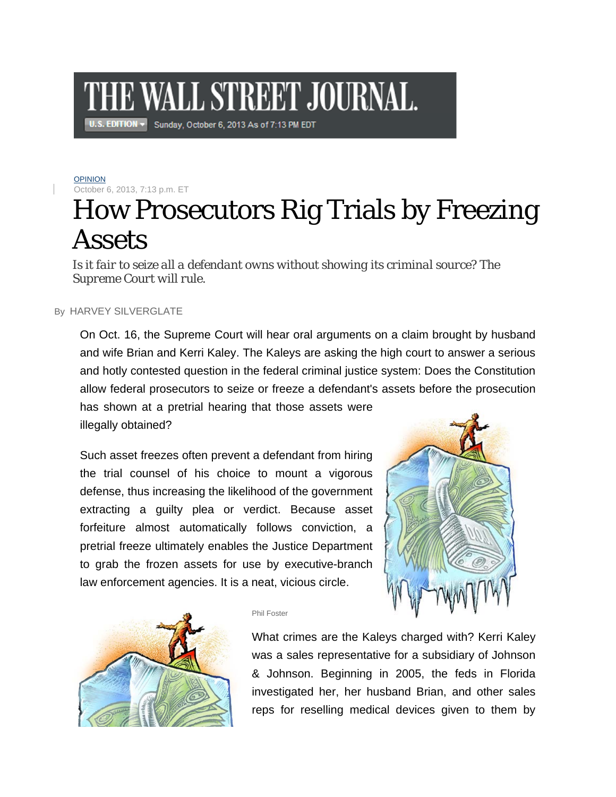## E WALL STREET JOURNAL.

. EDITION v Sunday, October 6, 2013 As of 7:13 PM EDT

OPINION October 6, 2013, 7:13 p.m. ET

## How Prosecutors Rig Trials by Freezing **Assets**

*Is it fair to seize all a defendant owns without showing its criminal source? The Supreme Court will rule.* 

## By HARVEY SILVERGLATE

On Oct. 16, the Supreme Court will hear oral arguments on a claim brought by husband and wife Brian and Kerri Kaley. The Kaleys are asking the high court to answer a serious and hotly contested question in the federal criminal justice system: Does the Constitution allow federal prosecutors to seize or freeze a defendant's assets before the prosecution has shown at a pretrial hearing that those assets were illegally obtained?

Such asset freezes often prevent a defendant from hiring the trial counsel of his choice to mount a vigorous defense, thus increasing the likelihood of the government extracting a guilty plea or verdict. Because asset forfeiture almost automatically follows conviction, a pretrial freeze ultimately enables the Justice Department to grab the frozen assets for use by executive-branch law enforcement agencies. It is a neat, vicious circle.





## Phil Foster

What crimes are the Kaleys charged with? Kerri Kaley was a sales representative for a subsidiary of Johnson & Johnson. Beginning in 2005, the feds in Florida investigated her, her husband Brian, and other sales reps for reselling medical devices given to them by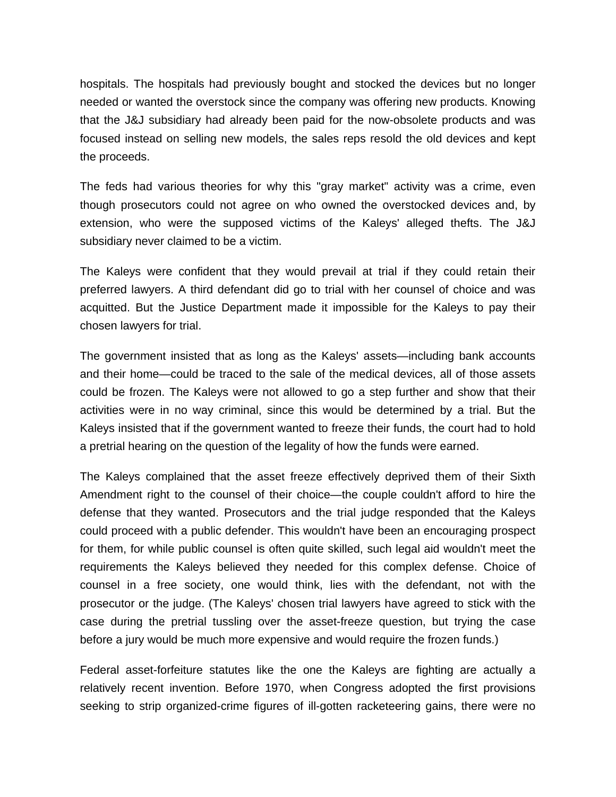hospitals. The hospitals had previously bought and stocked the devices but no longer needed or wanted the overstock since the company was offering new products. Knowing that the J&J subsidiary had already been paid for the now-obsolete products and was focused instead on selling new models, the sales reps resold the old devices and kept the proceeds.

The feds had various theories for why this "gray market" activity was a crime, even though prosecutors could not agree on who owned the overstocked devices and, by extension, who were the supposed victims of the Kaleys' alleged thefts. The J&J subsidiary never claimed to be a victim.

The Kaleys were confident that they would prevail at trial if they could retain their preferred lawyers. A third defendant did go to trial with her counsel of choice and was acquitted. But the Justice Department made it impossible for the Kaleys to pay their chosen lawyers for trial.

The government insisted that as long as the Kaleys' assets—including bank accounts and their home—could be traced to the sale of the medical devices, all of those assets could be frozen. The Kaleys were not allowed to go a step further and show that their activities were in no way criminal, since this would be determined by a trial. But the Kaleys insisted that if the government wanted to freeze their funds, the court had to hold a pretrial hearing on the question of the legality of how the funds were earned.

The Kaleys complained that the asset freeze effectively deprived them of their Sixth Amendment right to the counsel of their choice—the couple couldn't afford to hire the defense that they wanted. Prosecutors and the trial judge responded that the Kaleys could proceed with a public defender. This wouldn't have been an encouraging prospect for them, for while public counsel is often quite skilled, such legal aid wouldn't meet the requirements the Kaleys believed they needed for this complex defense. Choice of counsel in a free society, one would think, lies with the defendant, not with the prosecutor or the judge. (The Kaleys' chosen trial lawyers have agreed to stick with the case during the pretrial tussling over the asset-freeze question, but trying the case before a jury would be much more expensive and would require the frozen funds.)

Federal asset-forfeiture statutes like the one the Kaleys are fighting are actually a relatively recent invention. Before 1970, when Congress adopted the first provisions seeking to strip organized-crime figures of ill-gotten racketeering gains, there were no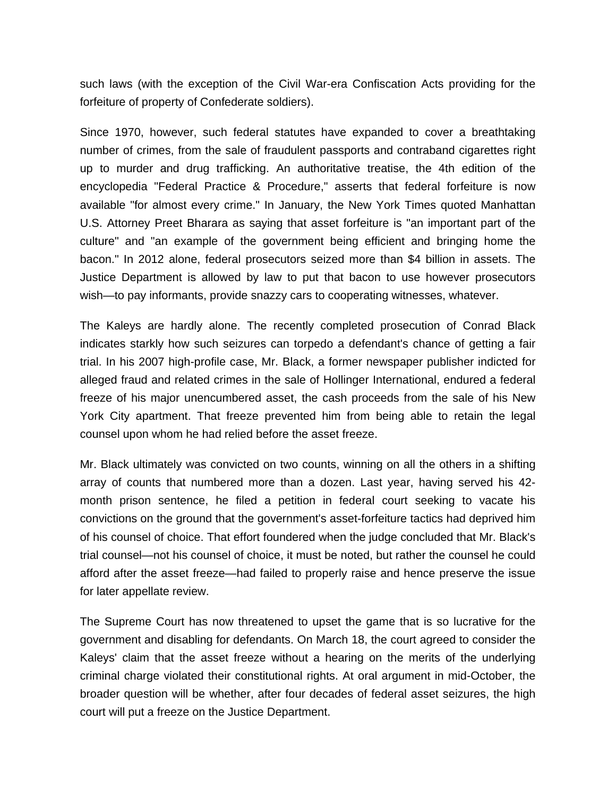such laws (with the exception of the Civil War-era Confiscation Acts providing for the forfeiture of property of Confederate soldiers).

Since 1970, however, such federal statutes have expanded to cover a breathtaking number of crimes, from the sale of fraudulent passports and contraband cigarettes right up to murder and drug trafficking. An authoritative treatise, the 4th edition of the encyclopedia "Federal Practice & Procedure," asserts that federal forfeiture is now available "for almost every crime." In January, the New York Times quoted Manhattan U.S. Attorney Preet Bharara as saying that asset forfeiture is "an important part of the culture" and "an example of the government being efficient and bringing home the bacon." In 2012 alone, federal prosecutors seized more than \$4 billion in assets. The Justice Department is allowed by law to put that bacon to use however prosecutors wish—to pay informants, provide snazzy cars to cooperating witnesses, whatever.

The Kaleys are hardly alone. The recently completed prosecution of Conrad Black indicates starkly how such seizures can torpedo a defendant's chance of getting a fair trial. In his 2007 high-profile case, Mr. Black, a former newspaper publisher indicted for alleged fraud and related crimes in the sale of Hollinger International, endured a federal freeze of his major unencumbered asset, the cash proceeds from the sale of his New York City apartment. That freeze prevented him from being able to retain the legal counsel upon whom he had relied before the asset freeze.

Mr. Black ultimately was convicted on two counts, winning on all the others in a shifting array of counts that numbered more than a dozen. Last year, having served his 42 month prison sentence, he filed a petition in federal court seeking to vacate his convictions on the ground that the government's asset-forfeiture tactics had deprived him of his counsel of choice. That effort foundered when the judge concluded that Mr. Black's trial counsel—not his counsel of choice, it must be noted, but rather the counsel he could afford after the asset freeze—had failed to properly raise and hence preserve the issue for later appellate review.

The Supreme Court has now threatened to upset the game that is so lucrative for the government and disabling for defendants. On March 18, the court agreed to consider the Kaleys' claim that the asset freeze without a hearing on the merits of the underlying criminal charge violated their constitutional rights. At oral argument in mid-October, the broader question will be whether, after four decades of federal asset seizures, the high court will put a freeze on the Justice Department.